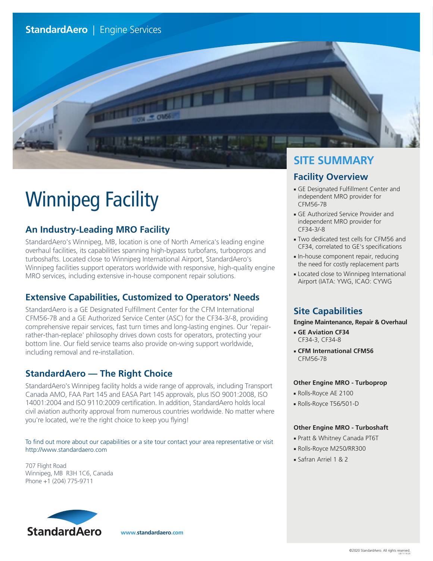

# Winnipeg Facility

## **An Industry-Leading MRO Facility**

StandardAero's Winnipeg, MB, location is one of North America's leading engine overhaul facilities, its capabilities spanning high-bypass turbofans, turboprops and turboshafts. Located close to Winnipeg International Airport, StandardAero's Winnipeg facilities support operators worldwide with responsive, high-quality engine MRO services, including extensive in-house component repair solutions.

## **Extensive Capabilities, Customized to Operators' Needs**

StandardAero is a GE Designated Fulfillment Center for the CFM International CFM56-7B and a GE Authorized Service Center (ASC) for the CF34-3/-8, providing comprehensive repair services, fast turn times and long-lasting engines. Our 'repairrather-than-replace' philosophy drives down costs for operators, protecting your bottom line. Our field service teams also provide on-wing support worldwide, including removal and re-installation.

## **StandardAero — The Right Choice**

StandardAero's Winnipeg facility holds a wide range of approvals, including Transport Canada AMO, FAA Part 145 and EASA Part 145 approvals, plus ISO 9001:2008, ISO 14001:2004 and ISO 9110:2009 certification. In addition, StandardAero holds local civil aviation authority approval from numerous countries worldwide. No matter where you're located, we're the right choice to keep you flying!

To find out more about our capabilities or a site tour contact your area representative or visit http://www.standardaero.com

707 Flight Road Winnipeg, MB R3H 1C6, Canada Phone +1 (204) 775-9711

## **SITE SUMMARY**

#### **Facility Overview**

- GE Designated Fulfillment Center and independent MRO provider for CFM56-7B
- GE Authorized Service Provider and independent MRO provider for CF34-3/-8
- Two dedicated test cells for CFM56 and CF34, correlated to GE's specifications
- In-house component repair, reducing the need for costly replacement parts
- Located close to Winnipeg International Airport (IATA: YWG, ICAO: CYWG

#### **Site Capabilities**

#### **Engine Maintenance, Repair & Overhaul**

- **GE Aviation CF34** CF34-3, CF34-8
- **CFM International CFM56** CFM56-7B

#### **Other Engine MRO - Turboprop**

- Rolls-Royce AE 2100
- Rolls-Royce T56/501-D

#### **Other Engine MRO - Turboshaft**

- Pratt & Whitney Canada PT6T
- Rolls-Royce M250/RR300
- Safran Arriel 1 & 2



**www.standardaero.com**